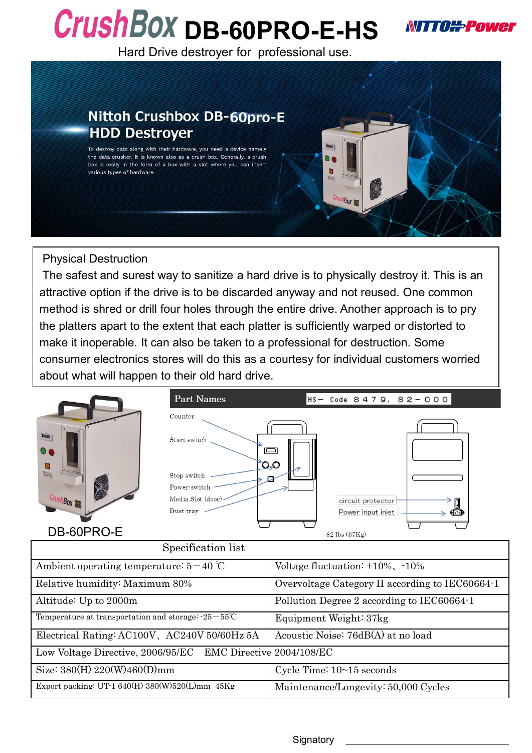## CrushBOX DB-60PRO-E-HS



Hard Drive destroyer for professional use.



## Physical Destruction

The safest and surest way to sanitize a hard drive is to physically destroy it. This is an attractive option if the drive is to be discarded anyway and not reused. One common method is shred or drill four holes through the entire drive. Another approach is to pry the platters apart to the extent that each platter is sufficiently warped or distorted to make it inoperable. It can also be taken to a professional for destruction. Some consumer electronics stores will do this as a courtesy for individual customers worried about what will happen to their old hard drive.

|                                          | <b>Part Names</b>                                                                                      |                                                 | HS- Code 8479, 82-000                        |  |
|------------------------------------------|--------------------------------------------------------------------------------------------------------|-------------------------------------------------|----------------------------------------------|--|
| $\bullet$<br>a<br>Bank<br>CrushBox       | Counter<br>Start switch<br>$\Omega$ 0<br>Stop switch<br>Power-switch<br>Media Slot (door)<br>Dust tray | $\qquad \qquad \Box$                            | circuit protector<br>Power input inlet<br>⊕⊕ |  |
| DB-60PRO-E                               |                                                                                                        | 82 lbs (37Kg)                                   |                                              |  |
|                                          | Specification list                                                                                     |                                                 |                                              |  |
| Ambient operating temperature: $5-40$ °C |                                                                                                        | Voltage fluctuation: $+10\%$ , $-10\%$          |                                              |  |
| Relative humidity: Maximum 80%           |                                                                                                        | Overvoltage Category II according to IEC60664-1 |                                              |  |

| Altitude: Up to 2000m                                               | Pollution Degree 2 according to IEC60664-1 |  |  |  |
|---------------------------------------------------------------------|--------------------------------------------|--|--|--|
| Temperature at transportation and storage: $-25-55^{\circ}\text{C}$ | Equipment Weight: 37kg                     |  |  |  |
| Electrical Rating: AC100V, AC240V 50/60Hz 5A                        | Acoustic Noise: 76dB(A) at no load         |  |  |  |
| Low Voltage Directive, 2006/95/EC EMC Directive 2004/108/EC         |                                            |  |  |  |
| Size: $380(H) 220(W)460(D)mm$                                       | Cycle Time: $10~15$ seconds                |  |  |  |
| Export packing: UT-1 640(H) 380(W)520(L)mm $45\text{Kg}$            | Maintenance/Longevity: 50,000 Cycles       |  |  |  |